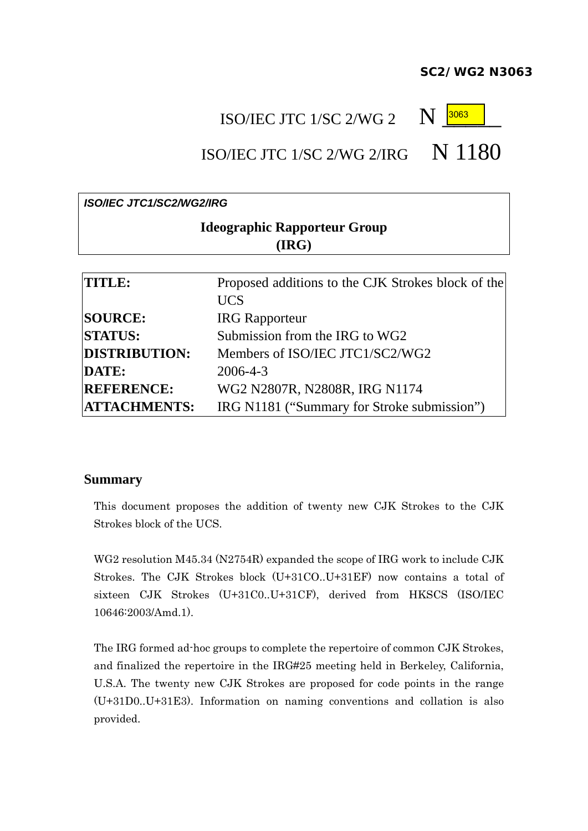#### *SC2/WG2 N3063*

## ISO/IEC JTC 1/SC 2/WG 2  $\quad$  N

# 3063

## ISO/IEC JTC 1/SC 2/WG 2/IRG  $N$  1180

# *ISO/IEC JTC1/SC2/WG2/IRG*  **Ideographic Rapporteur Group (IRG) TITLE:** Proposed additions to the CJK Strokes block of the UCS **SOURCE:** IRG Rapporteur

| <b>STATUS:</b>       | Submission from the IRG to WG2              |
|----------------------|---------------------------------------------|
| <b>DISTRIBUTION:</b> | Members of ISO/IEC JTC1/SC2/WG2             |
| <b>DATE:</b>         | 2006-4-3                                    |
| <b>REFERENCE:</b>    | WG2 N2807R, N2808R, IRG N1174               |
| <b>ATTACHMENTS:</b>  | IRG N1181 ("Summary for Stroke submission") |

#### **Summary**

This document proposes the addition of twenty new CJK Strokes to the CJK Strokes block of the UCS.

WG2 resolution M45.34 (N2754R) expanded the scope of IRG work to include CJK Strokes. The CJK Strokes block (U+31CO..U+31EF) now contains a total of sixteen CJK Strokes (U+31C0..U+31CF), derived from HKSCS (ISO/IEC 10646:2003/Amd.1).

The IRG formed ad-hoc groups to complete the repertoire of common CJK Strokes, and finalized the repertoire in the IRG#25 meeting held in Berkeley, California, U.S.A. The twenty new CJK Strokes are proposed for code points in the range (U+31D0..U+31E3). Information on naming conventions and collation is also provided.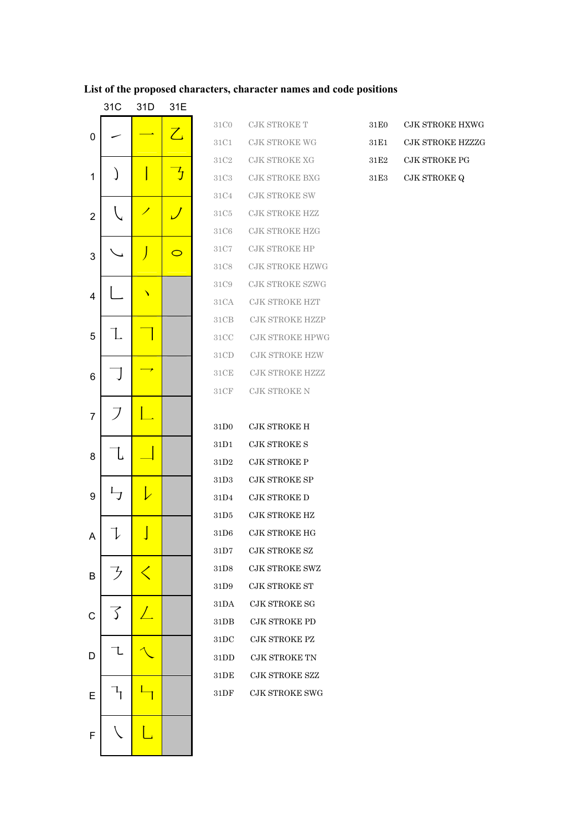#### List of the proposed characters, character names and code positions

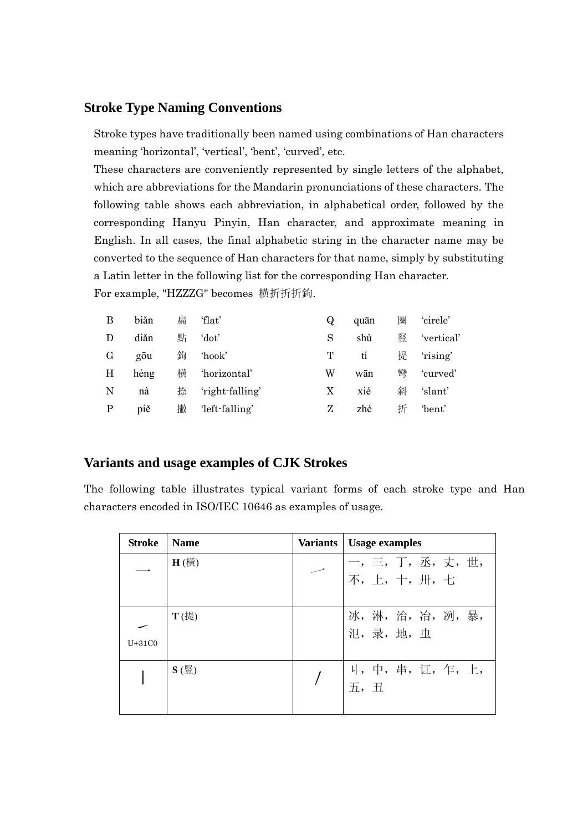#### **Stroke Type Naming Conventions**

Stroke types have traditionally been named using combinations of Han characters meaning 'horizontal', 'vertical', 'bent', 'curved', etc.

These characters are conveniently represented by single letters of the alphabet, which are abbreviations for the Mandarin pronunciations of these characters. The following table shows each abbreviation, in alphabetical order, followed by the corresponding Hanyu Pinyin, Han character, and approximate meaning in English. In all cases, the final alphabetic string in the character name may be converted to the sequence of Han characters for that name, simply by substituting a Latin letter in the following list for the corresponding Han character. For example, "HZZZG" becomes 橫折折折鉤.

| B            | biăn | 扁 | 'flat'          | Q | quān | 卷 | 'circle'   |
|--------------|------|---|-----------------|---|------|---|------------|
| D            | diǎn | 點 | 'dot'           | S | shù  | 豎 | 'vertical' |
| $\rm G$      | gōu  | 鉤 | 'hook'          | т | tí   | 提 | 'rising'   |
| H            | héng | 横 | 'horizontal'    | W | wān  | 彎 | 'curved'   |
| N            | nà   | 捺 | 'right-falling' | X | xié  | 斜 | 'slant'    |
| $\mathbf{P}$ | piě  | 撇 | 'left-falling'  | Z | zhé  | 折 | 'bent'     |

### **Variants and usage examples of CJK Strokes**

The following table illustrates typical variant forms of each stroke type and Han characters encoded in ISO/IEC 10646 as examples of usage.

| <b>Stroke</b> | <b>Name</b>  | Variants | Usage examples                     |
|---------------|--------------|----------|------------------------------------|
|               | $H$ $(\n$ 横) |          | 一, 三, 丁, 丞, 丈, 世,<br>不, 上, 十, 卅, 七 |
| $U+31C0$      | $T$ (提)      |          | 冰,淋,治,冶,冽,暴,                       |
|               | $S$ (豎)      |          | 4, 中, 串, 讧, 乍, 上,<br>五, 丑          |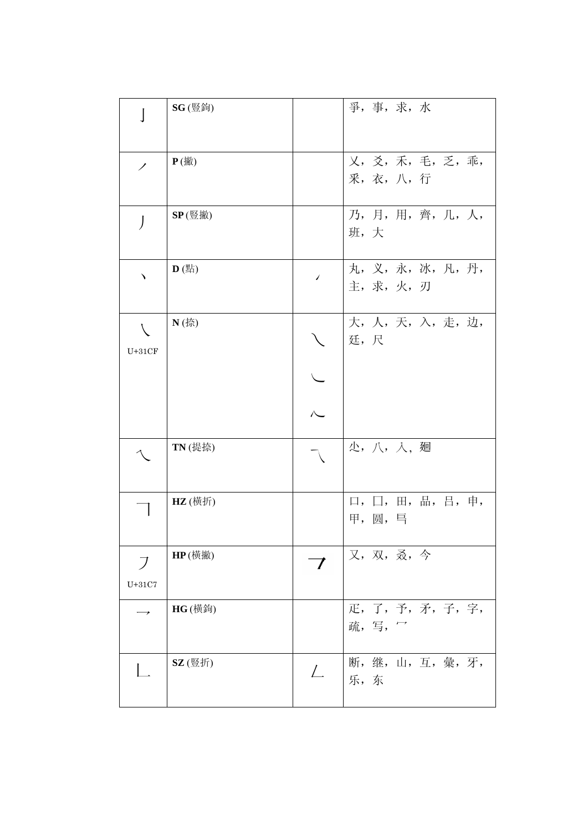|                            | <b>SG</b> (豎鉤) |                          | 爭,事,求,水                                               |
|----------------------------|----------------|--------------------------|-------------------------------------------------------|
| ╱                          | $P$ (撇)        |                          | 乂, 爻, 禾, 毛, 乏, 乖,<br>采,衣,八,行                          |
| J                          | $SP($ 豎撇 $)$   |                          | 乃, 月, 用, 齊, 几, 人,<br>班,大                              |
|                            | $D$ (點)        | $\overline{\phantom{a}}$ | 丸, 义, 永, 冰, 凡, 丹,<br>主,求,火,刃                          |
| $\overline{ }$<br>$U+31CF$ | $N$ (捺)        |                          | 大, 人, 天, 入, 走, 边,<br>廷, 尺                             |
|                            |                |                          |                                                       |
|                            |                |                          |                                                       |
|                            | TN (提捺)        |                          | 少,八,入,廻                                               |
|                            | HZ (横折)        |                          | 品, 吕, 申,<br>$\Box$ , $\Box$ , $\boxplus$ ,<br>甲, 圆, 巪 |
| $\overline{J}$<br>$U+31C7$ | HP(横撇)         |                          | 又, 双, 叒, 今                                            |
|                            | <b>HG</b> (横鉤) |                          | 疋, 了, 予, 矛, 子, 字,<br>疏,写,                             |
|                            | SZ (豎折)        | $\perp$                  | 断,继,山,互,彙,牙,<br>乐,东                                   |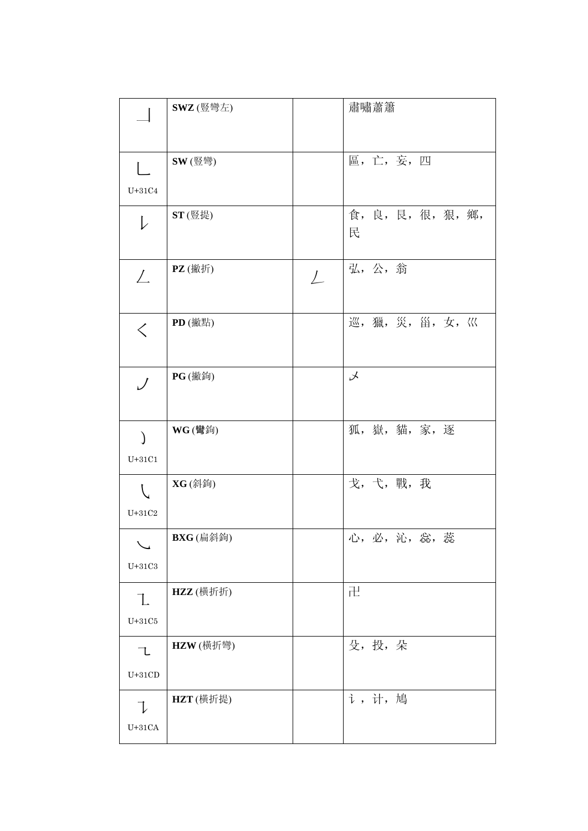|                                 | SWZ (豎彎左)        |         | 肅嘯蕭簫                   |
|---------------------------------|------------------|---------|------------------------|
|                                 |                  |         |                        |
|                                 | SW (豎彎)          |         | 區, 亡, 妄, 四             |
| $U+31C4$                        |                  |         |                        |
| $\downarrow$                    | ST(豎提)           |         | 食, 良, 艮, 很, 狠, 鄉,<br>民 |
| $\perp$                         | $PZ$ (撇折)        | $\perp$ | 弘,公,翁                  |
| $\lt$                           | PD (撇點)          |         | 巡, 獵, 災, 甾, 女, 巛       |
| $\bigcup$                       | <b>PG</b> (撇鉤)   |         | $\lambda$              |
| $\lambda$<br>$U+31C1$           | <b>WG</b> (彎鉤)   |         | 狐, 嶽, 貓, 家, 逐          |
| $U+31C2$                        | <b>XG</b> (斜鉤)   |         | 戈, 弋, 戰, 我             |
| $_{\rm U+31C3}$                 | <b>BXG</b> (扁斜鉤) |         | 蕊<br>心,必,沁,惢,          |
| $\mathbb{L}$<br>$_{\rm U+31C5}$ | HZZ (横折折)        |         | 卍                      |
| 乁<br>$U+31CD$                   | HZW (横折彎)        |         | 殳,投,朵                  |
| $U+31CA$                        | HZT (横折提)        |         | i, 计, 鳩                |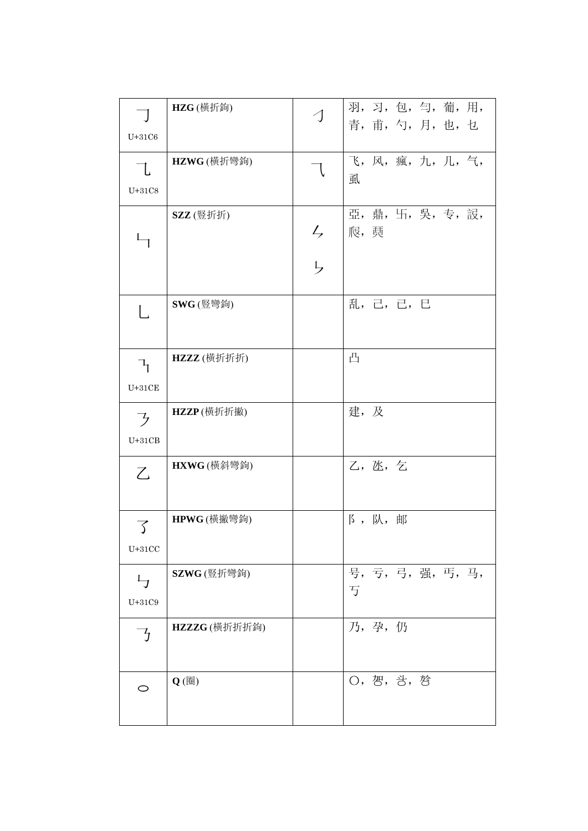| $\Box$                                  | HZG(横折鉤)     | $\triangleleft$ | 羽, 习, 包, 匀, 葡, 用,      |
|-----------------------------------------|--------------|-----------------|------------------------|
| $U+31C6$                                |              |                 | 青, 甫, 勺, 月, 也, 乜       |
| L<br>$U+31C8$                           | HZWG (横折彎鉤)  | 乁               | 飞, 风, 瘋, 九, 几, 气,<br>虱 |
|                                         | SZZ (豎折折)    | ちら              |                        |
|                                         |              |                 |                        |
| L                                       | SWG (豎彎鉤)    |                 | 乱, 己, 己, 巳             |
| $\mathcal{F}_{\mathcal{L}}$<br>$U+31CE$ | HZZZ (横折折折)  |                 | 凸                      |
| フ<br>$U+31CB$                           | HZZP(横折折撇)   |                 | 建,及                    |
| Z                                       | HXWG (横斜彎鉤)  |                 | 乙, 氹, 乞                |
| 了<br>$U+31CC$                           | HPWG (橫撇彎鉤)  |                 | 阝, 队, 邮                |
| $L_{\mathcal{I}}$<br>$U+31C9$           | SZWG (豎折彎鉤)  |                 | 号, 亏, 弓, 强, 丐, 马,<br>丂 |
| ヮ                                       | HZZZG(横折折折鉤) |                 | 乃,孕,仍                  |
| O                                       | $Q$ (圈)      |                 |                        |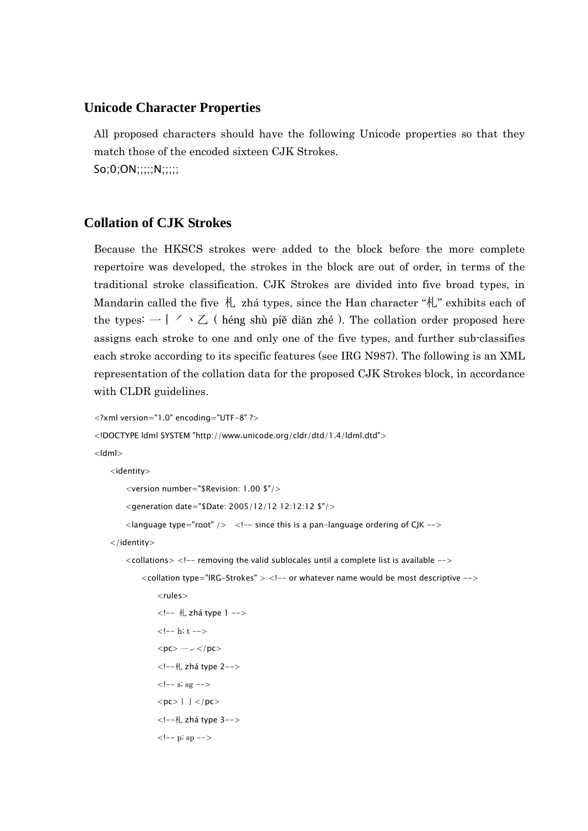#### **Unicode Character Properties**

All proposed characters should have the following Unicode properties so that they match those of the encoded sixteen CJK Strokes. So;0;ON;;;;;N;;;;;

#### **Collation of CJK Strokes**

Because the HKSCS strokes were added to the block before the more complete repertoire was developed, the strokes in the block are out of order, in terms of the traditional stroke classification. CJK Strokes are divided into five broad types, in Mandarin called the five  $\hbar$  zhá types, since the Han character " $\hbar$ " exhibits each of the types:  $-$  |  $\vee$   $\vee$   $\vee$  ( héng shù piě diǎn zhé ). The collation order proposed here assigns each stroke to one and only one of the five types, and further sub-classifies each stroke according to its specific features (see IRG N987). The following is an XML representation of the collation data for the proposed CJK Strokes block, in accordance with CLDR guidelines.

```
<?xml version="1.0" encoding="UTF-8" ?> 
<!DOCTYPE ldml SYSTEM "http://www.unicode.org/cldr/dtd/1.4/ldml.dtd"> 
<ldml> 
     <identity> 
          <version number="$Revision: 1.00 $"/> 
          <generation date="$Date: 2005/12/12 12:12:12 $"/> 
         \alpha < language type="root" /> \alpha <!-- since this is a pan-language ordering of CJK -->
     </identity> 
         \alpha <collations> <!-- removing the valid sublocales until a complete list is available -->\alpha <collation type="IRG-Strokes" > <!-- or whatever name would be most descriptive --> <rules> 
                   <!-- 札 zhá type 1 --> 
                  \left\langle -1 - h, t - \right\ranglep<sub>0</sub> </pc> -2 <!--札 zhá type 2--> 
                  \langle -\ s; sg \leftarrow<pc>|| </pc>
                   <!--札 zhá type 3--> 
                  \langle -p; sp \rangle - \rangle
```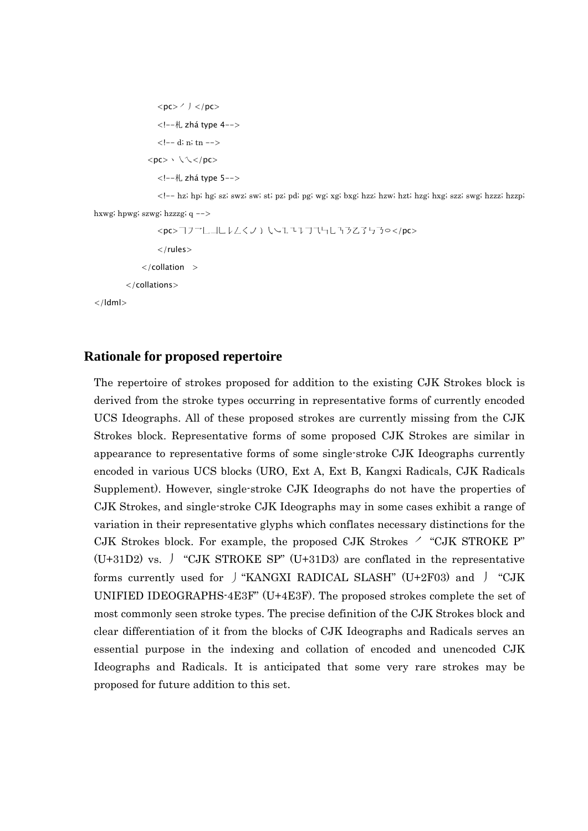$<$ pc> $\prime$   $\prime$   $<$ /pc> <!--札 zhá type 4-->  $\left\langle -1, d; n; t_n \right\rangle$  $<$ pc> \\\ </pc> <!--札 zhá type 5-->

<!-- hz; hp; hg; sz; swz; sw; st; pz; pd; pg; wg; xg; bxg; hzz; hzw; hzt; hzg; hxg; szz; swg; hzzz; hzzp;

```
hxwg; hpwg; szwg; hzzzg; q -->
```
 $\langle$ /ldml $\rangle$ 

```
<pc>777LJLl<</>L</pc>
     \langlerules>\langle collation \rangle </collations>
```
### **Rationale for proposed repertoire**

The repertoire of strokes proposed for addition to the existing CJK Strokes block is derived from the stroke types occurring in representative forms of currently encoded UCS Ideographs. All of these proposed strokes are currently missing from the CJK Strokes block. Representative forms of some proposed CJK Strokes are similar in appearance to representative forms of some single-stroke CJK Ideographs currently encoded in various UCS blocks (URO, Ext A, Ext B, Kangxi Radicals, CJK Radicals Supplement). However, single-stroke CJK Ideographs do not have the properties of CJK Strokes, and single-stroke CJK Ideographs may in some cases exhibit a range of variation in their representative glyphs which conflates necessary distinctions for the CJK Strokes block. For example, the proposed CJK Strokes  $\prime$  "CJK STROKE P" (U+31D2) vs.  $\int$  "CJK STROKE SP" (U+31D3) are conflated in the representative forms currently used for  $\int$  "KANGXI RADICAL SLASH" (U+2F03) and  $\int$  "CJK UNIFIED IDEOGRAPHS-4E3F" (U+4E3F). The proposed strokes complete the set of most commonly seen stroke types. The precise definition of the CJK Strokes block and clear differentiation of it from the blocks of CJK Ideographs and Radicals serves an essential purpose in the indexing and collation of encoded and unencoded CJK Ideographs and Radicals. It is anticipated that some very rare strokes may be proposed for future addition to this set.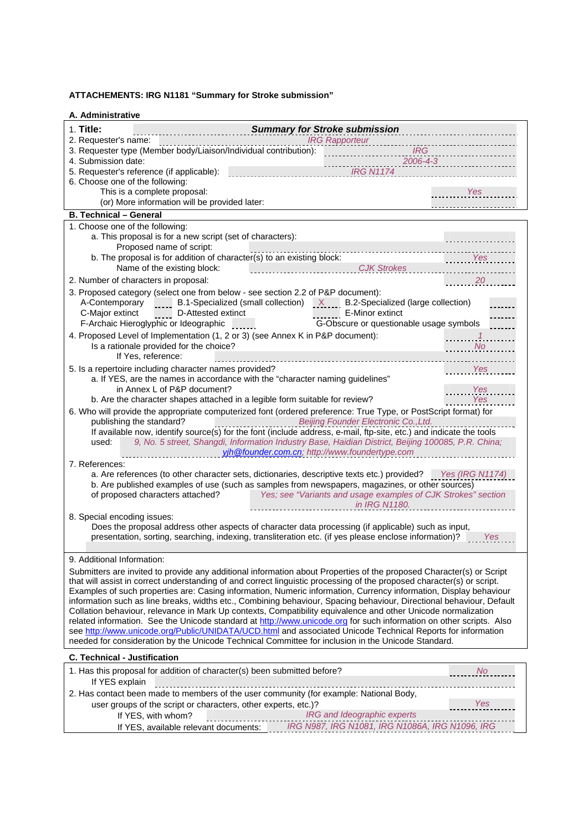#### **ATTACHEMENTS: IRG N1181 "Summary for Stroke submission"**

| A. Administrative                                                                                                                                                                                                                                                                                                                                                                                                                                                                                                                                                                                                                                                                                                                                                                                                                                                                                                                                        |                                                                                                                                                                                                                                                                                                  |                   |
|----------------------------------------------------------------------------------------------------------------------------------------------------------------------------------------------------------------------------------------------------------------------------------------------------------------------------------------------------------------------------------------------------------------------------------------------------------------------------------------------------------------------------------------------------------------------------------------------------------------------------------------------------------------------------------------------------------------------------------------------------------------------------------------------------------------------------------------------------------------------------------------------------------------------------------------------------------|--------------------------------------------------------------------------------------------------------------------------------------------------------------------------------------------------------------------------------------------------------------------------------------------------|-------------------|
| 1. Title:<br>2. Requester's name:                                                                                                                                                                                                                                                                                                                                                                                                                                                                                                                                                                                                                                                                                                                                                                                                                                                                                                                        | <b>Summary for Stroke submission</b><br><b>IRG Rapporteur</b>                                                                                                                                                                                                                                    |                   |
| 3. Requester type (Member body/Liaison/Individual contribution):<br>4. Submission date:                                                                                                                                                                                                                                                                                                                                                                                                                                                                                                                                                                                                                                                                                                                                                                                                                                                                  | <b>IRG</b><br>2006-4-3                                                                                                                                                                                                                                                                           |                   |
| 5. Requester's reference (if applicable):<br>6. Choose one of the following:                                                                                                                                                                                                                                                                                                                                                                                                                                                                                                                                                                                                                                                                                                                                                                                                                                                                             | <b>IRG N1174</b>                                                                                                                                                                                                                                                                                 |                   |
| This is a complete proposal:                                                                                                                                                                                                                                                                                                                                                                                                                                                                                                                                                                                                                                                                                                                                                                                                                                                                                                                             |                                                                                                                                                                                                                                                                                                  | <b>Yes</b>        |
| (or) More information will be provided later:                                                                                                                                                                                                                                                                                                                                                                                                                                                                                                                                                                                                                                                                                                                                                                                                                                                                                                            |                                                                                                                                                                                                                                                                                                  |                   |
| <b>B. Technical - General</b>                                                                                                                                                                                                                                                                                                                                                                                                                                                                                                                                                                                                                                                                                                                                                                                                                                                                                                                            |                                                                                                                                                                                                                                                                                                  |                   |
| 1. Choose one of the following:                                                                                                                                                                                                                                                                                                                                                                                                                                                                                                                                                                                                                                                                                                                                                                                                                                                                                                                          |                                                                                                                                                                                                                                                                                                  |                   |
| a. This proposal is for a new script (set of characters):<br>Proposed name of script:                                                                                                                                                                                                                                                                                                                                                                                                                                                                                                                                                                                                                                                                                                                                                                                                                                                                    |                                                                                                                                                                                                                                                                                                  |                   |
| b. The proposal is for addition of character(s) to an existing block:<br>Name of the existing block:                                                                                                                                                                                                                                                                                                                                                                                                                                                                                                                                                                                                                                                                                                                                                                                                                                                     | <b>CJK Strokes</b>                                                                                                                                                                                                                                                                               | Yes               |
| 2. Number of characters in proposal:                                                                                                                                                                                                                                                                                                                                                                                                                                                                                                                                                                                                                                                                                                                                                                                                                                                                                                                     |                                                                                                                                                                                                                                                                                                  | 20                |
| 3. Proposed category (select one from below - see section 2.2 of P&P document):<br>D-Attested extinct<br>C-Major extinct<br>F-Archaic Hieroglyphic or Ideographic                                                                                                                                                                                                                                                                                                                                                                                                                                                                                                                                                                                                                                                                                                                                                                                        | A-Contemporary B.1-Specialized (small collection) X B.2-Specialized (large collection)<br>E-Minor extinct<br>المتحدث<br>G-Obscure or questionable usage symbols                                                                                                                                  |                   |
| 4. Proposed Level of Implementation (1, 2 or 3) (see Annex K in P&P document):<br>Is a rationale provided for the choice?<br>If Yes, reference:                                                                                                                                                                                                                                                                                                                                                                                                                                                                                                                                                                                                                                                                                                                                                                                                          |                                                                                                                                                                                                                                                                                                  | No.               |
| 5. Is a repertoire including character names provided?<br>a. If YES, are the names in accordance with the "character naming guidelines"<br>in Annex L of P&P document?<br>b. Are the character shapes attached in a legible form suitable for review?                                                                                                                                                                                                                                                                                                                                                                                                                                                                                                                                                                                                                                                                                                    |                                                                                                                                                                                                                                                                                                  | Yes<br>Yes<br>Yes |
| 6. Who will provide the appropriate computerized font (ordered preference: True Type, or PostScript format) for<br>publishing the standard?                                                                                                                                                                                                                                                                                                                                                                                                                                                                                                                                                                                                                                                                                                                                                                                                              | Beijing Founder Electronic Co., Ltd.                                                                                                                                                                                                                                                             |                   |
| used:                                                                                                                                                                                                                                                                                                                                                                                                                                                                                                                                                                                                                                                                                                                                                                                                                                                                                                                                                    | If available now, identify source(s) for the font (include address, e-mail, ftp-site, etc.) and indicate the tools<br>9, No. 5 street, Shangdi, Information Industry Base, Haidian District, Beijing 100085, P.R. China;<br>yjh @founder.com.cn; http://www.foundertype.com                      |                   |
| 7. References:                                                                                                                                                                                                                                                                                                                                                                                                                                                                                                                                                                                                                                                                                                                                                                                                                                                                                                                                           |                                                                                                                                                                                                                                                                                                  |                   |
| of proposed characters attached?                                                                                                                                                                                                                                                                                                                                                                                                                                                                                                                                                                                                                                                                                                                                                                                                                                                                                                                         | a. Are references (to other character sets, dictionaries, descriptive texts etc.) provided? Yes (IRG N1174)<br>b. Are published examples of use (such as samples from newspapers, magazines, or other sources)<br>Yes; see "Variants and usage examples of CJK Strokes" section<br>in IRG N1180. |                   |
| 8. Special encoding issues:                                                                                                                                                                                                                                                                                                                                                                                                                                                                                                                                                                                                                                                                                                                                                                                                                                                                                                                              | Does the proposal address other aspects of character data processing (if applicable) such as input,<br>presentation, sorting, searching, indexing, transliteration etc. (if yes please enclose information)?                                                                                     | Yes               |
| 9. Additional Information:                                                                                                                                                                                                                                                                                                                                                                                                                                                                                                                                                                                                                                                                                                                                                                                                                                                                                                                               |                                                                                                                                                                                                                                                                                                  |                   |
| Submitters are invited to provide any additional information about Properties of the proposed Character(s) or Script<br>that will assist in correct understanding of and correct linguistic processing of the proposed character(s) or script.<br>Examples of such properties are: Casing information, Numeric information, Currency information, Display behaviour<br>information such as line breaks, widths etc., Combining behaviour, Spacing behaviour, Directional behaviour, Default<br>Collation behaviour, relevance in Mark Up contexts, Compatibility equivalence and other Unicode normalization<br>related information. See the Unicode standard at http://www.unicode.org for such information on other scripts. Also<br>see http://www.unicode.org/Public/UNIDATA/UCD.html and associated Unicode Technical Reports for information<br>needed for consideration by the Unicode Technical Committee for inclusion in the Unicode Standard. |                                                                                                                                                                                                                                                                                                  |                   |
| <b>C. Technical - Justification</b>                                                                                                                                                                                                                                                                                                                                                                                                                                                                                                                                                                                                                                                                                                                                                                                                                                                                                                                      |                                                                                                                                                                                                                                                                                                  |                   |
| 1. Has this proposal for addition of character(s) been submitted before?<br>If YES explain                                                                                                                                                                                                                                                                                                                                                                                                                                                                                                                                                                                                                                                                                                                                                                                                                                                               |                                                                                                                                                                                                                                                                                                  | <b>No</b>         |
| 2. Has contact been made to members of the user community (for example: National Body,                                                                                                                                                                                                                                                                                                                                                                                                                                                                                                                                                                                                                                                                                                                                                                                                                                                                   |                                                                                                                                                                                                                                                                                                  |                   |
| user groups of the script or characters, other experts, etc.)?<br>If YES, with whom?                                                                                                                                                                                                                                                                                                                                                                                                                                                                                                                                                                                                                                                                                                                                                                                                                                                                     | IRG and Ideographic experts                                                                                                                                                                                                                                                                      | Yes               |

If YES, available relevant documents: *IRG N987, IRG N1081, IRG N1086A, IRG N1096, IRG*